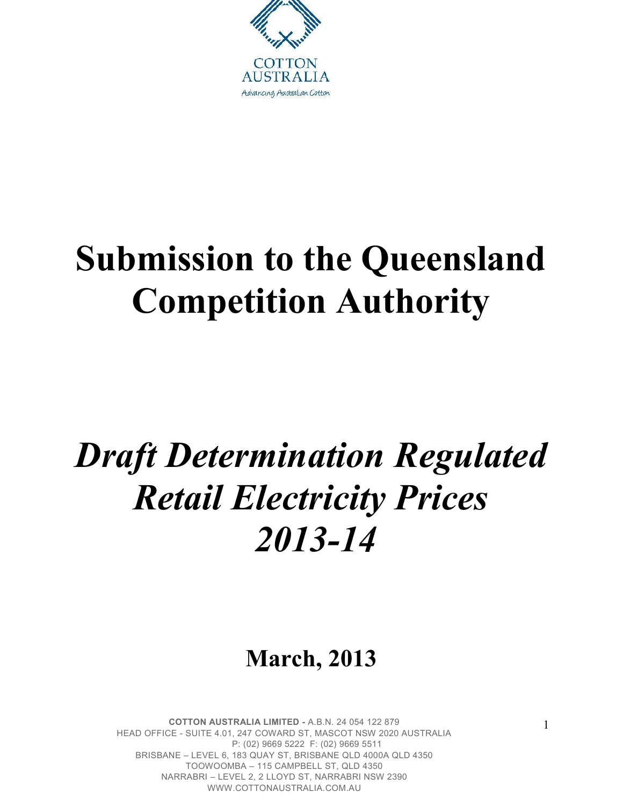

# **Submission to the Queensland Competition Authority**

# *Draft Determination Regulated Retail Electricity Prices 2013-14*

# **March, 2013**

1 **COTTON AUSTRALIA LIMITED -** A.B.N. 24 054 122 879 HEAD OFFICE - SUITE 4.01, 247 COWARD ST, MASCOT NSW 2020 AUSTRALIA P: (02) 9669 5222 F: (02) 9669 5511 BRISBANE – LEVEL 6, 183 QUAY ST, BRISBANE QLD 4000A QLD 4350 TOOWOOMBA – 115 CAMPBELL ST, QLD 4350 NARRABRI – LEVEL 2, 2 LLOYD ST, NARRABRI NSW 2390 [WWW.COTTONAUSTRALIA.COM.AU](http://www.cottonaustralia.com.au/)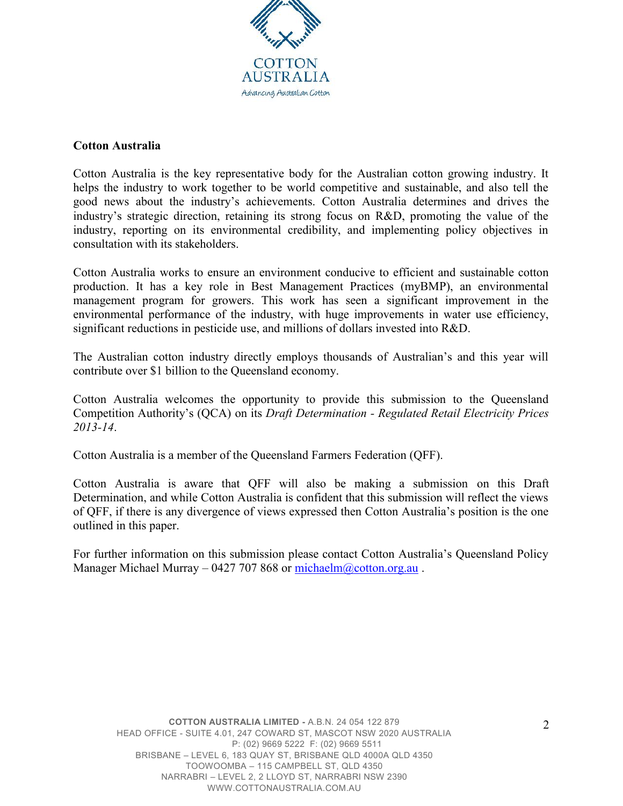

#### **Cotton Australia**

Cotton Australia is the key representative body for the Australian cotton growing industry. It helps the industry to work together to be world competitive and sustainable, and also tell the good news about the industry's achievements. Cotton Australia determines and drives the industry's strategic direction, retaining its strong focus on R&D, promoting the value of the industry, reporting on its environmental credibility, and implementing policy objectives in consultation with its stakeholders.

Cotton Australia works to ensure an environment conducive to efficient and sustainable cotton production. It has a key role in Best Management Practices (myBMP), an environmental management program for growers. This work has seen a significant improvement in the environmental performance of the industry, with huge improvements in water use efficiency, significant reductions in pesticide use, and millions of dollars invested into R&D.

The Australian cotton industry directly employs thousands of Australian's and this year will contribute over \$1 billion to the Queensland economy.

Cotton Australia welcomes the opportunity to provide this submission to the Queensland Competition Authority's (QCA) on its *Draft Determination - Regulated Retail Electricity Prices 2013-14*.

Cotton Australia is a member of the Queensland Farmers Federation (QFF).

Cotton Australia is aware that QFF will also be making a submission on this Draft Determination, and while Cotton Australia is confident that this submission will reflect the views of QFF, if there is any divergence of views expressed then Cotton Australia's position is the one outlined in this paper.

For further information on this submission please contact Cotton Australia's Queensland Policy Manager Michael Murray – 0427 707 868 or [michaelm@cotton.org.au](mailto:michaelm@cotton.org.au).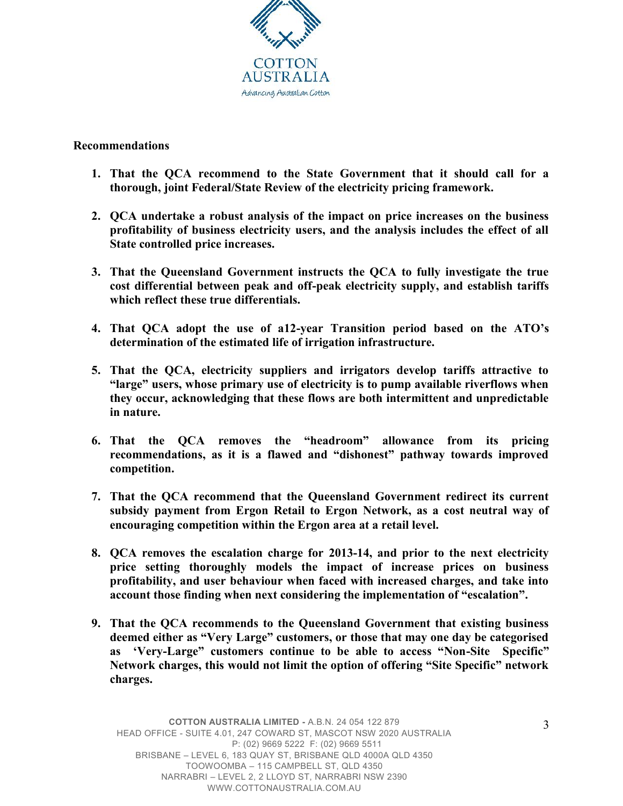

#### **Recommendations**

- **1. That the QCA recommend to the State Government that it should call for a thorough, joint Federal/State Review of the electricity pricing framework.**
- **2. QCA undertake a robust analysis of the impact on price increases on the business profitability of business electricity users, and the analysis includes the effect of all State controlled price increases.**
- **3. That the Queensland Government instructs the QCA to fully investigate the true cost differential between peak and off-peak electricity supply, and establish tariffs which reflect these true differentials.**
- **4. That QCA adopt the use of a12-year Transition period based on the ATO's determination of the estimated life of irrigation infrastructure.**
- **5. That the QCA, electricity suppliers and irrigators develop tariffs attractive to "large" users, whose primary use of electricity is to pump available riverflows when they occur, acknowledging that these flows are both intermittent and unpredictable in nature.**
- **6. That the QCA removes the "headroom" allowance from its pricing recommendations, as it is a flawed and "dishonest" pathway towards improved competition.**
- **7. That the QCA recommend that the Queensland Government redirect its current subsidy payment from Ergon Retail to Ergon Network, as a cost neutral way of encouraging competition within the Ergon area at a retail level.**
- **8. QCA removes the escalation charge for 2013-14, and prior to the next electricity price setting thoroughly models the impact of increase prices on business profitability, and user behaviour when faced with increased charges, and take into account those finding when next considering the implementation of "escalation".**
- **9. That the QCA recommends to the Queensland Government that existing business deemed either as "Very Large" customers, or those that may one day be categorised as 'Very-Large" customers continue to be able to access "Non-Site Specific" Network charges, this would not limit the option of offering "Site Specific" network charges.**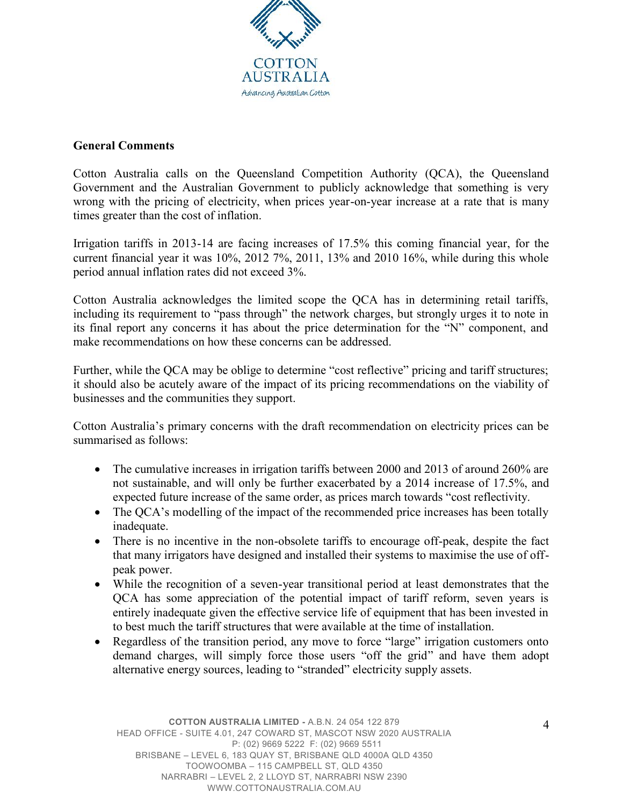

#### **General Comments**

Cotton Australia calls on the Queensland Competition Authority (QCA), the Queensland Government and the Australian Government to publicly acknowledge that something is very wrong with the pricing of electricity, when prices year-on-year increase at a rate that is many times greater than the cost of inflation.

Irrigation tariffs in 2013-14 are facing increases of 17.5% this coming financial year, for the current financial year it was 10%, 2012 7%, 2011, 13% and 2010 16%, while during this whole period annual inflation rates did not exceed 3%.

Cotton Australia acknowledges the limited scope the QCA has in determining retail tariffs, including its requirement to "pass through" the network charges, but strongly urges it to note in its final report any concerns it has about the price determination for the "N" component, and make recommendations on how these concerns can be addressed.

Further, while the QCA may be oblige to determine "cost reflective" pricing and tariff structures; it should also be acutely aware of the impact of its pricing recommendations on the viability of businesses and the communities they support.

Cotton Australia's primary concerns with the draft recommendation on electricity prices can be summarised as follows:

- The cumulative increases in irrigation tariffs between 2000 and 2013 of around 260% are not sustainable, and will only be further exacerbated by a 2014 increase of 17.5%, and expected future increase of the same order, as prices march towards "cost reflectivity.
- The OCA's modelling of the impact of the recommended price increases has been totally inadequate.
- There is no incentive in the non-obsolete tariffs to encourage off-peak, despite the fact that many irrigators have designed and installed their systems to maximise the use of off peak power.
- While the recognition of a seven-year transitional period at least demonstrates that the QCA has some appreciation of the potential impact of tariff reform, seven years is entirely inadequate given the effective service life of equipment that has been invested in to best much the tariff structures that were available at the time of installation.
- Regardless of the transition period, any move to force "large" irrigation customers onto demand charges, will simply force those users "off the grid" and have them adopt alternative energy sources, leading to "stranded" electricity supply assets.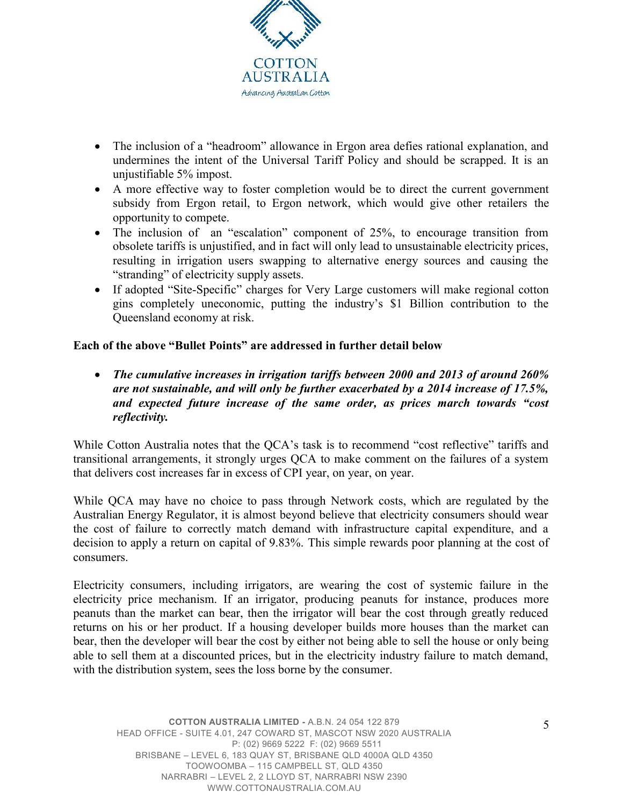

- The inclusion of a "headroom" allowance in Ergon area defies rational explanation, and undermines the intent of the Universal Tariff Policy and should be scrapped. It is an unjustifiable 5% impost.
- A more effective way to foster completion would be to direct the current government subsidy from Ergon retail, to Ergon network, which would give other retailers the opportunity to compete.
- The inclusion of an "escalation" component of 25%, to encourage transition from obsolete tariffs is unjustified, and in fact will only lead to unsustainable electricity prices, resulting in irrigation users swapping to alternative energy sources and causing the "stranding" of electricity supply assets.
- If adopted "Site-Specific" charges for Very Large customers will make regional cotton gins completely uneconomic, putting the industry's \$1 Billion contribution to the Queensland economy at risk.

#### **Each of the above "Bullet Points" are addressed in further detail below**

 *The cumulative increases in irrigation tariffs between 2000 and 2013 of around 260% are not sustainable, and will only be further exacerbated by a 2014 increase of 17.5%, and expected future increase of the same order, as prices march towards "cost reflectivity.*

While Cotton Australia notes that the QCA's task is to recommend "cost reflective" tariffs and transitional arrangements, it strongly urges QCA to make comment on the failures of a system that delivers cost increases far in excess of CPI year, on year, on year.

While QCA may have no choice to pass through Network costs, which are regulated by the Australian Energy Regulator, it is almost beyond believe that electricity consumers should wear the cost of failure to correctly match demand with infrastructure capital expenditure, and a decision to apply a return on capital of 9.83%. This simple rewards poor planning at the cost of consumers.

Electricity consumers, including irrigators, are wearing the cost of systemic failure in the electricity price mechanism. If an irrigator, producing peanuts for instance, produces more peanuts than the market can bear, then the irrigator will bear the cost through greatly reduced returns on his or her product. If a housing developer builds more houses than the market can bear, then the developer will bear the cost by either not being able to sell the house or only being able to sell them at a discounted prices, but in the electricity industry failure to match demand, with the distribution system, sees the loss borne by the consumer.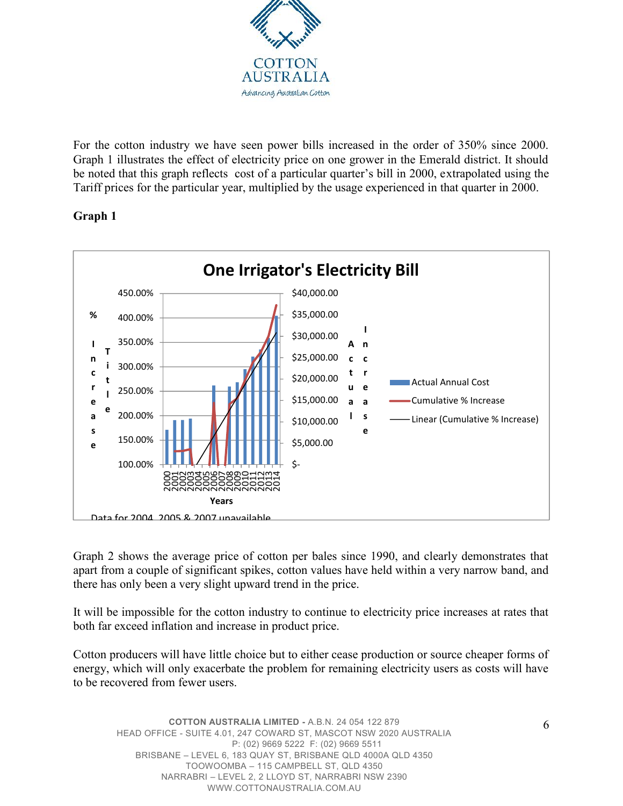

For the cotton industry we have seen power bills increased in the order of 350% since 2000. Graph 1 illustrates the effect of electricity price on one grower in the Emerald district. It should be noted that this graph reflects cost of a particular quarter's bill in 2000, extrapolated using the Tariff prices for the particular year, multiplied by the usage experienced in that quarter in 2000.



### **Graph 1**

Graph 2 shows the average price of cotton per bales since 1990, and clearly demonstrates that apart from a couple of significant spikes, cotton values have held within a very narrow band, and there has only been a very slight upward trend in the price.

It will be impossible for the cotton industry to continue to electricity price increases at rates that both far exceed inflation and increase in product price.

Cotton producers will have little choice but to either cease production or source cheaper forms of energy, which will only exacerbate the problem for remaining electricity users as costs will have to be recovered from fewer users.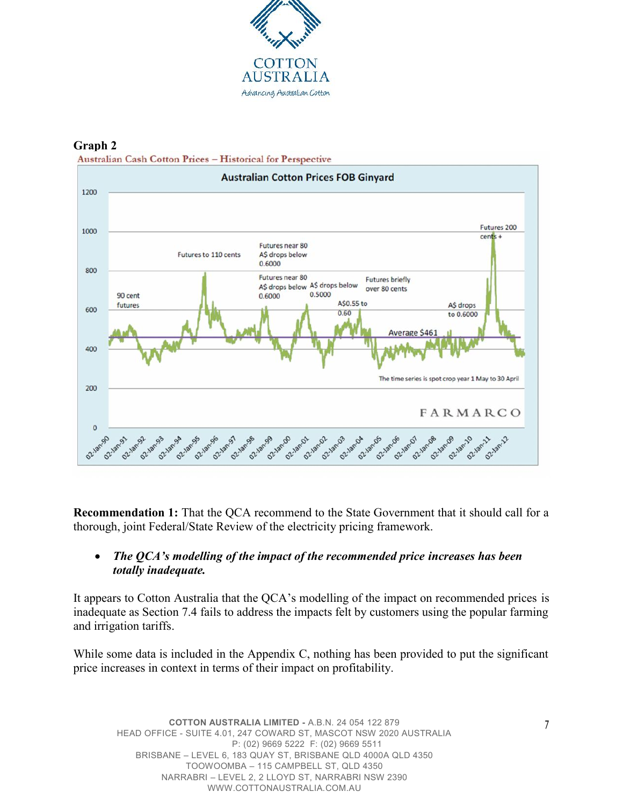

**Graph 2** Australian Cash Cotton Prices - Historical for Perspective



**Recommendation 1:** That the QCA recommend to the State Government that it should call for a thorough, joint Federal/State Review of the electricity pricing framework.

### *The QCA's modelling of the impact of the recommended price increases has been totally inadequate.*

It appears to Cotton Australia that the QCA's modelling of the impact on recommended prices is inadequate as Section 7.4 fails to address the impacts felt by customers using the popular farming and irrigation tariffs.

While some data is included in the Appendix C, nothing has been provided to put the significant price increases in context in terms of their impact on profitability.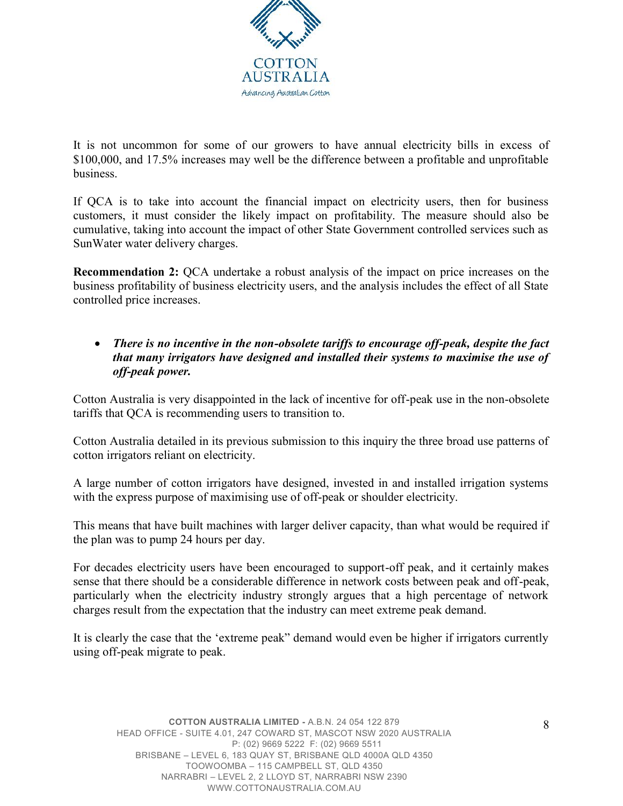

It is not uncommon for some of our growers to have annual electricity bills in excess of \$100,000, and 17.5% increases may well be the difference between a profitable and unprofitable business.

If QCA is to take into account the financial impact on electricity users, then for business customers, it must consider the likely impact on profitability. The measure should also be cumulative, taking into account the impact of other State Government controlled services such as SunWater water delivery charges.

**Recommendation 2:** QCA undertake a robust analysis of the impact on price increases on the business profitability of business electricity users, and the analysis includes the effect of all State controlled price increases.

#### *There is no incentive in the non-obsolete tariffs to encourage off-peak, despite the fact that many irrigators have designed and installed their systems to maximise the use of off-peak power.*

Cotton Australia is very disappointed in the lack of incentive for off-peak use in the non-obsolete tariffs that QCA is recommending users to transition to.

Cotton Australia detailed in its previous submission to this inquiry the three broad use patterns of cotton irrigators reliant on electricity.

A large number of cotton irrigators have designed, invested in and installed irrigation systems with the express purpose of maximising use of off-peak or shoulder electricity.

This means that have built machines with larger deliver capacity, than what would be required if the plan was to pump 24 hours per day.

For decades electricity users have been encouraged to support-off peak, and it certainly makes sense that there should be a considerable difference in network costs between peak and off-peak, particularly when the electricity industry strongly argues that a high percentage of network charges result from the expectation that the industry can meet extreme peak demand.

It is clearly the case that the 'extreme peak" demand would even be higher if irrigators currently using off-peak migrate to peak.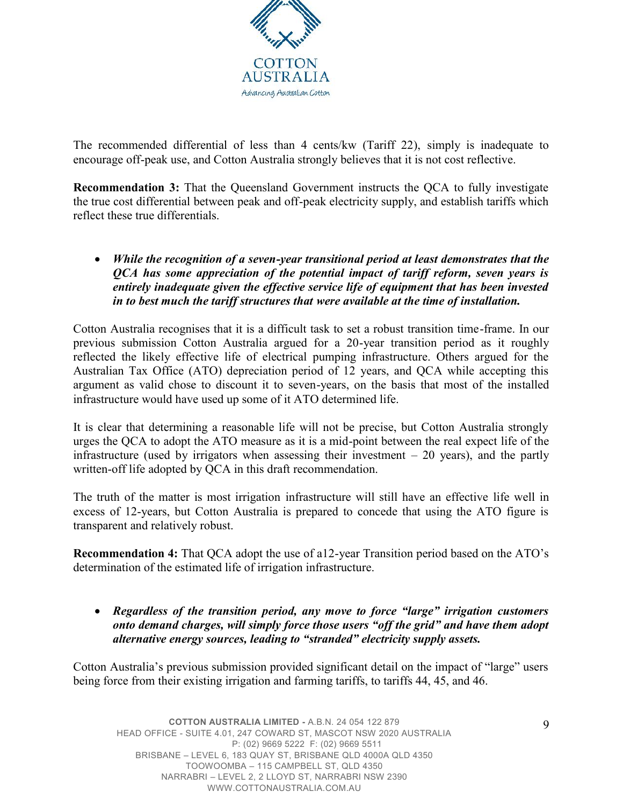

The recommended differential of less than 4 cents/kw (Tariff 22), simply is inadequate to encourage off-peak use, and Cotton Australia strongly believes that it is not cost reflective.

**Recommendation 3:** That the Queensland Government instructs the QCA to fully investigate the true cost differential between peak and off-peak electricity supply, and establish tariffs which reflect these true differentials.

 *While the recognition of a seven-year transitional period at least demonstrates that the QCA has some appreciation of the potential impact of tariff reform, seven years is entirely inadequate given the effective service life of equipment that has been invested in to best much the tariff structures that were available at the time of installation.*

Cotton Australia recognises that it is a difficult task to set a robust transition time-frame. In our previous submission Cotton Australia argued for a 20-year transition period as it roughly reflected the likely effective life of electrical pumping infrastructure. Others argued for the Australian Tax Office (ATO) depreciation period of 12 years, and QCA while accepting this argument as valid chose to discount it to seven-years, on the basis that most of the installed infrastructure would have used up some of it ATO determined life.

It is clear that determining a reasonable life will not be precise, but Cotton Australia strongly urges the QCA to adopt the ATO measure as it is a mid-point between the real expect life of the infrastructure (used by irrigators when assessing their investment  $-20$  years), and the partly written-off life adopted by QCA in this draft recommendation.

The truth of the matter is most irrigation infrastructure will still have an effective life well in excess of 12-years, but Cotton Australia is prepared to concede that using the ATO figure is transparent and relatively robust.

**Recommendation 4:** That QCA adopt the use of a12-year Transition period based on the ATO's determination of the estimated life of irrigation infrastructure.

 *Regardless of the transition period, any move to force "large" irrigation customers onto demand charges, will simply force those users "off the grid" and have them adopt alternative energy sources, leading to "stranded" electricity supply assets.*

Cotton Australia's previous submission provided significant detail on the impact of "large" users being force from their existing irrigation and farming tariffs, to tariffs 44, 45, and 46.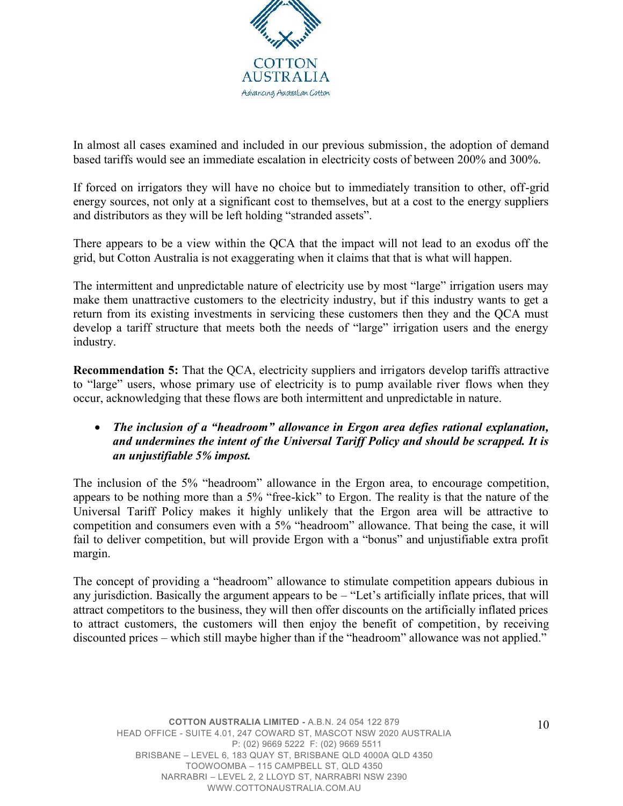

In almost all cases examined and included in our previous submission, the adoption of demand based tariffs would see an immediate escalation in electricity costs of between 200% and 300%.

If forced on irrigators they will have no choice but to immediately transition to other, off-grid energy sources, not only at a significant cost to themselves, but at a cost to the energy suppliers and distributors as they will be left holding "stranded assets".

There appears to be a view within the QCA that the impact will not lead to an exodus off the grid, but Cotton Australia is not exaggerating when it claims that that is what will happen.

The intermittent and unpredictable nature of electricity use by most "large" irrigation users may make them unattractive customers to the electricity industry, but if this industry wants to get a return from its existing investments in servicing these customers then they and the QCA must develop a tariff structure that meets both the needs of "large" irrigation users and the energy industry.

**Recommendation 5:** That the QCA, electricity suppliers and irrigators develop tariffs attractive to "large" users, whose primary use of electricity is to pump available river flows when they occur, acknowledging that these flows are both intermittent and unpredictable in nature.

### *The inclusion of a "headroom" allowance in Ergon area defies rational explanation, and undermines the intent of the Universal Tariff Policy and should be scrapped. It is an unjustifiable 5% impost.*

The inclusion of the 5% "headroom" allowance in the Ergon area, to encourage competition, appears to be nothing more than a 5% "free-kick" to Ergon. The reality is that the nature of the Universal Tariff Policy makes it highly unlikely that the Ergon area will be attractive to competition and consumers even with a 5% "headroom" allowance. That being the case, it will fail to deliver competition, but will provide Ergon with a "bonus" and unjustifiable extra profit margin.

The concept of providing a "headroom" allowance to stimulate competition appears dubious in any jurisdiction. Basically the argument appears to be – "Let's artificially inflate prices, that will attract competitors to the business, they will then offer discounts on the artificially inflated prices to attract customers, the customers will then enjoy the benefit of competition, by receiving discounted prices – which still maybe higher than if the "headroom" allowance was not applied."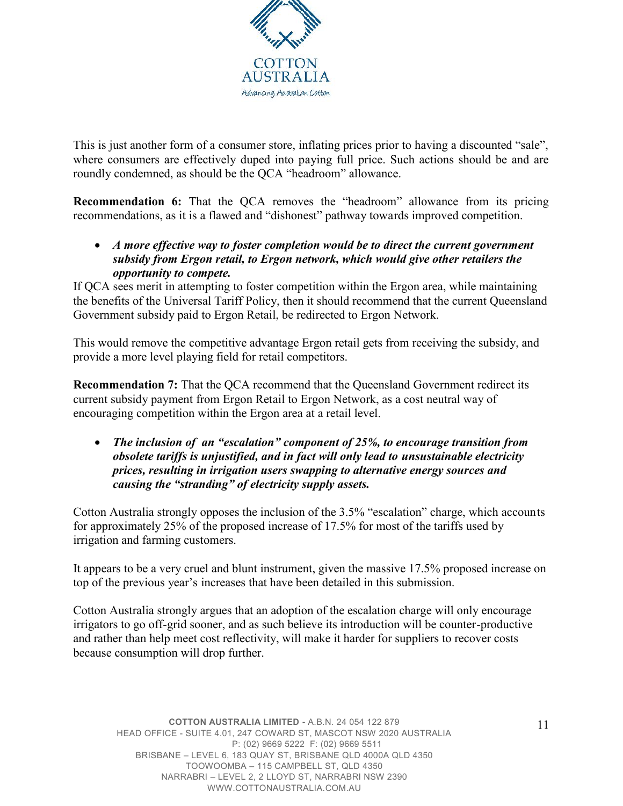

This is just another form of a consumer store, inflating prices prior to having a discounted "sale", where consumers are effectively duped into paying full price. Such actions should be and are roundly condemned, as should be the QCA "headroom" allowance.

**Recommendation 6:** That the QCA removes the "headroom" allowance from its pricing recommendations, as it is a flawed and "dishonest" pathway towards improved competition.

#### *A more effective way to foster completion would be to direct the current government subsidy from Ergon retail, to Ergon network, which would give other retailers the opportunity to compete.*

If QCA sees merit in attempting to foster competition within the Ergon area, while maintaining the benefits of the Universal Tariff Policy, then it should recommend that the current Queensland Government subsidy paid to Ergon Retail, be redirected to Ergon Network.

This would remove the competitive advantage Ergon retail gets from receiving the subsidy, and provide a more level playing field for retail competitors.

**Recommendation 7:** That the QCA recommend that the Queensland Government redirect its current subsidy payment from Ergon Retail to Ergon Network, as a cost neutral way of encouraging competition within the Ergon area at a retail level.

#### *The inclusion of an "escalation" component of 25%, to encourage transition from obsolete tariffs is unjustified, and in fact will only lead to unsustainable electricity prices, resulting in irrigation users swapping to alternative energy sources and causing the "stranding" of electricity supply assets.*

Cotton Australia strongly opposes the inclusion of the 3.5% "escalation" charge, which accounts for approximately 25% of the proposed increase of 17.5% for most of the tariffs used by irrigation and farming customers.

It appears to be a very cruel and blunt instrument, given the massive 17.5% proposed increase on top of the previous year's increases that have been detailed in this submission.

Cotton Australia strongly argues that an adoption of the escalation charge will only encourage irrigators to go off-grid sooner, and as such believe its introduction will be counter-productive and rather than help meet cost reflectivity, will make it harder for suppliers to recover costs because consumption will drop further.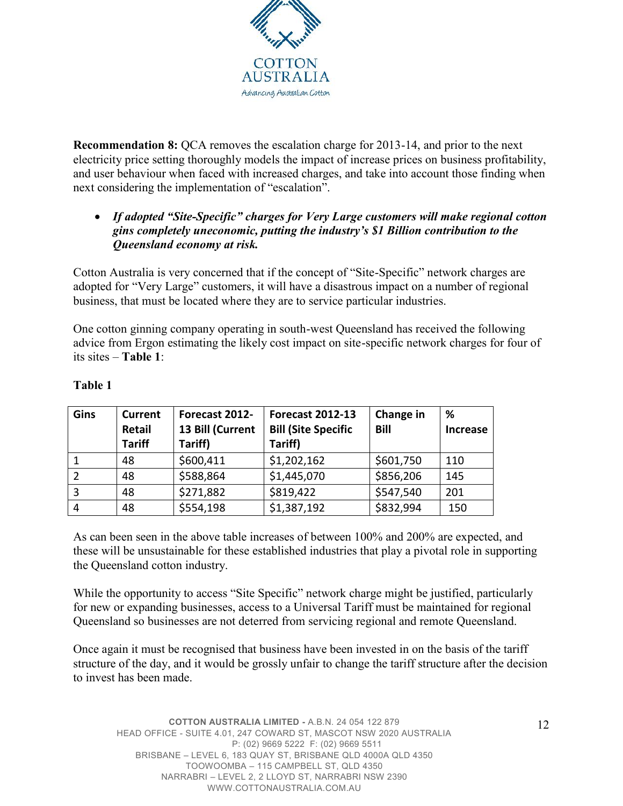

**Recommendation 8:** QCA removes the escalation charge for 2013-14, and prior to the next electricity price setting thoroughly models the impact of increase prices on business profitability, and user behaviour when faced with increased charges, and take into account those finding when next considering the implementation of "escalation".

### *If adopted "Site-Specific" charges for Very Large customers will make regional cotton gins completely uneconomic, putting the industry's \$1 Billion contribution to the Queensland economy at risk.*

Cotton Australia is very concerned that if the concept of "Site-Specific" network charges are adopted for "Very Large" customers, it will have a disastrous impact on a number of regional business, that must be located where they are to service particular industries.

One cotton ginning company operating in south-west Queensland has received the following advice from Ergon estimating the likely cost impact on site-specific network charges for four of its sites – **Table 1**:

| Gins           | <b>Current</b><br>Retail<br><b>Tariff</b> | Forecast 2012-<br>13 Bill (Current<br>Tariff) | <b>Forecast 2012-13</b><br><b>Bill (Site Specific</b><br>Tariff) | Change in<br><b>Bill</b> | %<br><b>Increase</b> |  |
|----------------|-------------------------------------------|-----------------------------------------------|------------------------------------------------------------------|--------------------------|----------------------|--|
|                | 48                                        | \$600,411                                     | \$1,202,162                                                      | \$601,750                | 110                  |  |
|                | 48                                        | \$588,864                                     | \$1,445,070                                                      | \$856,206                | 145                  |  |
| $\overline{3}$ | 48                                        | \$271,882                                     | \$819,422                                                        | \$547,540                | 201                  |  |
| 4              | 48                                        | \$554,198                                     | \$1,387,192                                                      | \$832,994                | 150                  |  |

## **Table 1**

As can been seen in the above table increases of between 100% and 200% are expected, and these will be unsustainable for these established industries that play a pivotal role in supporting the Queensland cotton industry.

While the opportunity to access "Site Specific" network charge might be justified, particularly for new or expanding businesses, access to a Universal Tariff must be maintained for regional Queensland so businesses are not deterred from servicing regional and remote Queensland.

Once again it must be recognised that business have been invested in on the basis of the tariff structure of the day, and it would be grossly unfair to change the tariff structure after the decision to invest has been made.